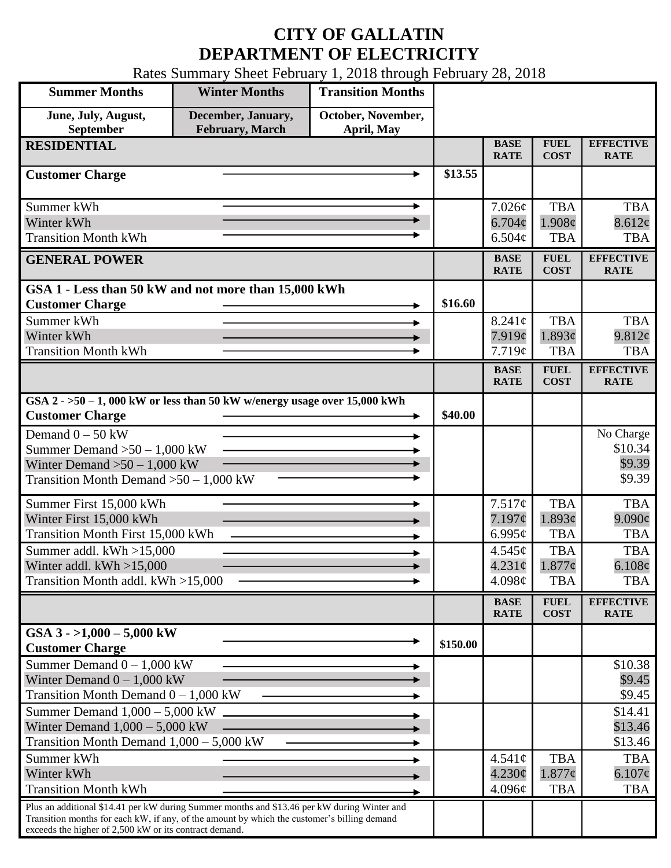## **CITY OF GALLATIN DEPARTMENT OF ELECTRICITY**

Rates Summary Sheet February 1, 2018 through February 28, 2018

| <b>Summer Months</b>                                                                                  | <b>Winter Months</b>                          | <b>Transition Months</b>         |          |                            |                            |                                 |
|-------------------------------------------------------------------------------------------------------|-----------------------------------------------|----------------------------------|----------|----------------------------|----------------------------|---------------------------------|
| June, July, August,<br>September                                                                      | December, January,<br><b>February</b> , March | October, November,<br>April, May |          |                            |                            |                                 |
| <b>RESIDENTIAL</b>                                                                                    |                                               |                                  |          | <b>BASE</b><br><b>RATE</b> | <b>FUEL</b><br><b>COST</b> | <b>EFFECTIVE</b><br><b>RATE</b> |
| <b>Customer Charge</b>                                                                                |                                               |                                  | \$13.55  |                            |                            |                                 |
| Summer kWh                                                                                            |                                               |                                  |          | 7.026¢                     | <b>TBA</b>                 | <b>TBA</b>                      |
| Winter kWh                                                                                            |                                               |                                  |          | 6.704¢                     | 1.908¢                     | 8.612¢                          |
| <b>Transition Month kWh</b>                                                                           |                                               |                                  |          | 6.504¢                     | <b>TBA</b>                 | <b>TBA</b>                      |
| <b>GENERAL POWER</b>                                                                                  |                                               |                                  |          | <b>BASE</b><br><b>RATE</b> | <b>FUEL</b><br><b>COST</b> | <b>EFFECTIVE</b><br><b>RATE</b> |
| GSA 1 - Less than 50 kW and not more than 15,000 kWh                                                  |                                               |                                  |          |                            |                            |                                 |
| <b>Customer Charge</b>                                                                                |                                               |                                  | \$16.60  |                            |                            |                                 |
| Summer kWh                                                                                            |                                               |                                  |          | $8.241\phi$                | <b>TBA</b>                 | <b>TBA</b>                      |
| Winter kWh                                                                                            |                                               |                                  |          | 7.919¢                     | 1.893¢                     | 9.812¢                          |
| <b>Transition Month kWh</b>                                                                           |                                               |                                  |          | 7.719¢                     | <b>TBA</b>                 | <b>TBA</b>                      |
|                                                                                                       |                                               |                                  |          | <b>BASE</b><br><b>RATE</b> | <b>FUEL</b><br><b>COST</b> | <b>EFFECTIVE</b><br><b>RATE</b> |
| GSA $2 - 50 - 1$ , 000 kW or less than 50 kW w/energy usage over 15,000 kWh<br><b>Customer Charge</b> |                                               |                                  | \$40.00  |                            |                            |                                 |
| Demand $0 - 50$ kW                                                                                    |                                               |                                  |          |                            |                            | No Charge                       |
| Summer Demand $>50 - 1,000$ kW                                                                        |                                               |                                  |          |                            |                            | \$10.34                         |
| Winter Demand $>50 - 1,000$ kW                                                                        |                                               |                                  |          |                            |                            | \$9.39                          |
| Transition Month Demand $>50-1,000$ kW                                                                |                                               |                                  |          |                            |                            | \$9.39                          |
| Summer First 15,000 kWh                                                                               |                                               | ۰.                               |          | 7.517¢                     | <b>TBA</b>                 | <b>TBA</b>                      |
| Winter First 15,000 kWh                                                                               |                                               |                                  |          | 7.197¢                     | 1.893¢                     | $9.090\phi$                     |
| <b>Transition Month First 15,000 kWh</b>                                                              |                                               |                                  |          | 6.995 $\phi$               | <b>TBA</b>                 | <b>TBA</b>                      |
| Summer addl. $kWh > 15,000$                                                                           |                                               |                                  |          | 4.545¢                     | <b>TBA</b>                 | <b>TBA</b>                      |
| Winter addl. $kWh > 15,000$                                                                           |                                               |                                  |          | $4.231\phi$                | $1.877$ ¢                  | 6.108 <sub>c</sub>              |
| Transition Month addl. kWh >15,000                                                                    |                                               |                                  |          | 4.098 $\phi$               | <b>TBA</b>                 | <b>TBA</b>                      |
|                                                                                                       |                                               |                                  |          | <b>BASE</b><br><b>RATE</b> | <b>FUEL</b><br><b>COST</b> | <b>EFFECTIVE</b><br><b>RATE</b> |
| GSA $3 - 1,000 - 5,000$ kW<br><b>Customer Charge</b>                                                  |                                               |                                  | \$150.00 |                            |                            |                                 |
| Summer Demand $0 - 1,000$ kW                                                                          |                                               |                                  |          |                            |                            | \$10.38                         |
| Winter Demand $0 - 1,000$ kW                                                                          |                                               |                                  |          |                            |                            | \$9.45                          |
| Transition Month Demand $0 - 1,000$ kW                                                                |                                               |                                  |          |                            |                            | \$9.45                          |
| Summer Demand $1,000 - 5,000$ kW                                                                      |                                               |                                  |          |                            |                            | \$14.41                         |
| Winter Demand $1,000 - 5,000$ kW                                                                      |                                               |                                  |          |                            |                            | \$13.46                         |
| Transition Month Demand $1,000 - 5,000$ kW                                                            |                                               |                                  |          |                            |                            | \$13.46                         |
| Summer kWh<br>Winter kWh                                                                              |                                               |                                  |          | $4.541\phi$                | <b>TBA</b>                 | <b>TBA</b>                      |
| <b>Transition Month kWh</b>                                                                           |                                               |                                  |          | $4.230\phi$<br>4.096¢      | $1.877$ ¢<br><b>TBA</b>    | $6.107\phi$<br><b>TBA</b>       |
| Plus an additional \$14.41 per kW during Summer months and \$13.46 per kW during Winter and           |                                               |                                  |          |                            |                            |                                 |
| Transition months for each kW, if any, of the amount by which the customer's billing demand           |                                               |                                  |          |                            |                            |                                 |
| exceeds the higher of 2,500 kW or its contract demand.                                                |                                               |                                  |          |                            |                            |                                 |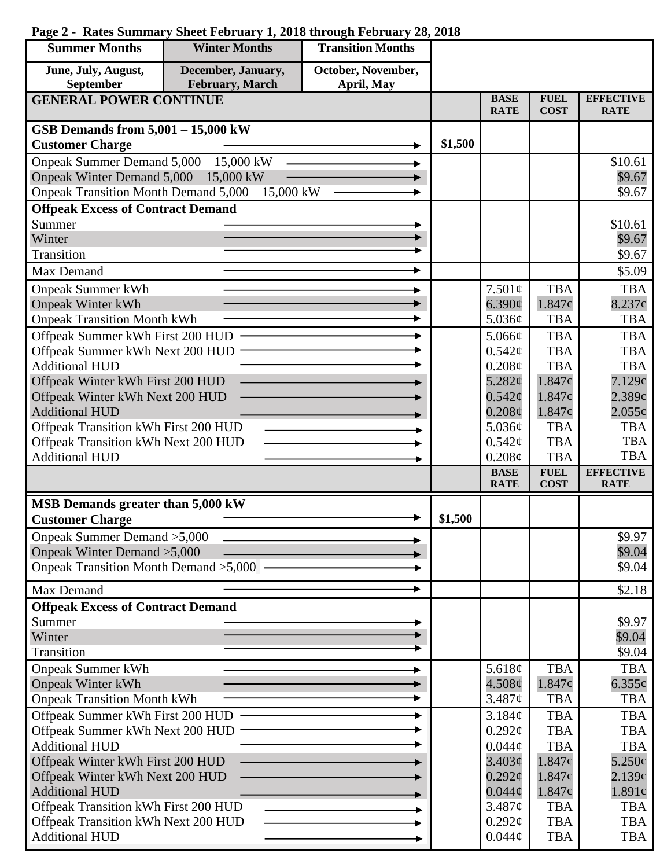| <b>Summer Months</b>                                                | <b>Winter Months</b>                             | <b>Transition Months</b> |         |                            |                            |                                 |
|---------------------------------------------------------------------|--------------------------------------------------|--------------------------|---------|----------------------------|----------------------------|---------------------------------|
| June, July, August,                                                 | December, January,                               | October, November,       |         |                            |                            |                                 |
| September                                                           | February, March                                  | April, May               |         |                            |                            |                                 |
| <b>GENERAL POWER CONTINUE</b>                                       |                                                  |                          |         | <b>BASE</b><br><b>RATE</b> | <b>FUEL</b><br><b>COST</b> | <b>EFFECTIVE</b><br><b>RATE</b> |
| GSB Demands from $5,001 - 15,000$ kW                                |                                                  |                          |         |                            |                            |                                 |
| <b>Customer Charge</b>                                              |                                                  |                          | \$1,500 |                            |                            |                                 |
| Onpeak Summer Demand 5,000 - 15,000 kW                              |                                                  |                          |         |                            |                            | \$10.61                         |
| Onpeak Winter Demand 5,000 - 15,000 kW                              |                                                  |                          |         |                            |                            | \$9.67                          |
|                                                                     | Onpeak Transition Month Demand 5,000 - 15,000 kW |                          |         |                            |                            | \$9.67                          |
| <b>Offpeak Excess of Contract Demand</b>                            |                                                  |                          |         |                            |                            |                                 |
| Summer                                                              |                                                  |                          |         |                            |                            | \$10.61                         |
| Winter                                                              |                                                  |                          |         |                            |                            | \$9.67                          |
| Transition                                                          |                                                  |                          |         |                            |                            | \$9.67                          |
| Max Demand                                                          |                                                  |                          |         |                            |                            | \$5.09                          |
| <b>Onpeak Summer kWh</b>                                            |                                                  |                          |         | 7.501¢                     | <b>TBA</b>                 | <b>TBA</b>                      |
| <b>Onpeak Winter kWh</b>                                            |                                                  |                          |         | 6.390¢                     | $1.847\phi$                | $8.237\phi$                     |
| <b>Onpeak Transition Month kWh</b>                                  |                                                  |                          |         | 5.036¢                     | <b>TBA</b>                 | <b>TBA</b>                      |
| Offpeak Summer kWh First 200 HUD                                    |                                                  |                          |         | 5.066¢                     | <b>TBA</b>                 | <b>TBA</b>                      |
| Offpeak Summer kWh Next 200 HUD                                     |                                                  |                          |         | 0.542¢                     | <b>TBA</b>                 | <b>TBA</b>                      |
| <b>Additional HUD</b>                                               |                                                  |                          |         | 0.208¢                     | <b>TBA</b>                 | <b>TBA</b>                      |
| Offpeak Winter kWh First 200 HUD                                    |                                                  |                          |         | 5.282¢                     | $1.847\phi$                | $7.129\mathcal{C}$              |
| Offpeak Winter kWh Next 200 HUD                                     |                                                  |                          |         | $0.542\mathcal{C}$         | 1.847c                     | $2.389\mathcal{C}$              |
| <b>Additional HUD</b>                                               |                                                  |                          |         | $0.208\phi$                | $1.847\phi$                | $2.055\phi$                     |
| Offpeak Transition kWh First 200 HUD                                |                                                  |                          |         | 5.036¢<br>0.542¢           | <b>TBA</b><br><b>TBA</b>   | <b>TBA</b><br><b>TBA</b>        |
| Offpeak Transition kWh Next 200 HUD<br><b>Additional HUD</b>        |                                                  |                          |         | 0.208c                     | <b>TBA</b>                 | <b>TBA</b>                      |
|                                                                     |                                                  |                          |         | <b>BASE</b>                | <b>FUEL</b>                | <b>EFFECTIVE</b>                |
|                                                                     |                                                  |                          |         | <b>RATE</b>                | <b>COST</b>                | <b>RATE</b>                     |
| MSB Demands greater than 5,000 kW                                   |                                                  |                          |         |                            |                            |                                 |
| <b>Customer Charge</b>                                              |                                                  |                          | \$1,500 |                            |                            |                                 |
| Onpeak Summer Demand > 5,000                                        |                                                  |                          |         |                            |                            | \$9.97                          |
| Onpeak Winter Demand > 5,000                                        |                                                  |                          |         |                            |                            | \$9.04                          |
| Onpeak Transition Month Demand > 5,000 -                            |                                                  |                          |         |                            |                            | \$9.04                          |
| Max Demand                                                          |                                                  |                          |         |                            |                            | \$2.18                          |
| <b>Offpeak Excess of Contract Demand</b>                            |                                                  |                          |         |                            |                            |                                 |
| Summer                                                              |                                                  |                          |         |                            |                            | \$9.97                          |
| Winter                                                              |                                                  |                          |         |                            |                            | \$9.04                          |
| Transition                                                          |                                                  |                          |         |                            |                            | \$9.04                          |
| <b>Onpeak Summer kWh</b>                                            |                                                  |                          |         | 5.618 $\phi$               | <b>TBA</b>                 | <b>TBA</b>                      |
| <b>Onpeak Winter kWh</b><br><b>Onpeak Transition Month kWh</b>      |                                                  |                          |         | $4.508\phi$<br>3.487¢      | $1.847\phi$<br><b>TBA</b>  | $6.355\phi$<br><b>TBA</b>       |
|                                                                     |                                                  |                          |         | 3.184¢                     | <b>TBA</b>                 | <b>TBA</b>                      |
| Offpeak Summer kWh First 200 HUD<br>Offpeak Summer kWh Next 200 HUD |                                                  |                          |         | $0.292\ell$                | <b>TBA</b>                 | <b>TBA</b>                      |
| <b>Additional HUD</b>                                               |                                                  |                          |         | $0.044\phi$                | <b>TBA</b>                 | <b>TBA</b>                      |
| Offpeak Winter kWh First 200 HUD                                    |                                                  |                          |         | 3.403¢                     | 1.847¢                     | $5.250\epsilon$                 |
| Offpeak Winter kWh Next 200 HUD                                     |                                                  |                          |         | $0.292\ell$                | $1.847\phi$                | 2.139¢                          |
| <b>Additional HUD</b>                                               |                                                  |                          |         | $0.044\phi$                | $1.847\phi$                | $1.891\phi$                     |
| Offpeak Transition kWh First 200 HUD                                |                                                  |                          |         | 3.487¢                     | <b>TBA</b>                 | <b>TBA</b>                      |
| Offpeak Transition kWh Next 200 HUD                                 |                                                  |                          |         | $0.292\ell$                | <b>TBA</b>                 | <b>TBA</b>                      |
| <b>Additional HUD</b>                                               |                                                  |                          |         | $0.044\phi$                | <b>TBA</b>                 | TBA                             |

## **Page 2 - Rates Summary Sheet February 1, 2018 through February 28, 2018**